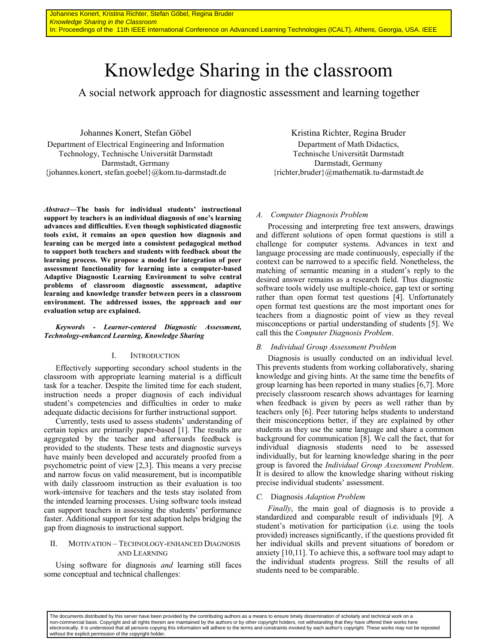# Knowledge Sharing in the classroom

A social network approach for diagnostic assessment and learning together

Johannes Konert, Stefan Göbel Department of Electrical Engineering and Information Technology, Technische Universität Darmstadt Darmstadt, Germany {johannes.konert, stefan.goebel}@kom.tu-darmstadt.de

*Abstract***—The basis for individual students' instructional support by teachers is an individual diagnosis of one's learning advances and difficulties. Even though sophisticated diagnostic tools exist, it remains an open question how diagnosis and learning can be merged into a consistent pedagogical method to support both teachers and students with feedback about the learning process. We propose a model for integration of peer assessment functionality for learning into a computer-based Adaptive Diagnostic Learning Environment to solve central problems of classroom diagnostic assessment, adaptive learning and knowledge transfer between peers in a classroom environment. The addressed issues, the approach and our evaluation setup are explained.** 

### *Keywords - Learner-centered Diagnostic Assessment, Technology-enhanced Learning, Knowledge Sharing*

## I. INTRODUCTION

Effectively supporting secondary school students in the classroom with appropriate learning material is a difficult task for a teacher. Despite the limited time for each student, instruction needs a proper diagnosis of each individual student's competencies and difficulties in order to make adequate didactic decisions for further instructional support.

Currently, tests used to assess students' understanding of certain topics are primarily paper-based [1]. The results are aggregated by the teacher and afterwards feedback is provided to the students. These tests and diagnostic surveys have mainly been developed and accurately proofed from a psychometric point of view [2,3]. This means a very precise and narrow focus on valid measurement, but is incompatible with daily classroom instruction as their evaluation is too work-intensive for teachers and the tests stay isolated from the intended learning processes. Using software tools instead can support teachers in assessing the students' performance faster. Additional support for test adaption helps bridging the gap from diagnosis to instructional support.

## II. MOTIVATION – TECHNOLOGY-ENHANCED DIAGNOSIS AND LEARNING

Using software for diagnosis *and* learning still faces some conceptual and technical challenges:

Kristina Richter, Regina Bruder Department of Math Didactics, Technische Universität Darmstadt Darmstadt, Germany {richter,bruder}@mathematik.tu-darmstadt.de

## *A. Computer Diagnosis Problem*

Processing and interpreting free text answers, drawings and different solutions of open format questions is still a challenge for computer systems. Advances in text and language processing are made continuously, especially if the context can be narrowed to a specific field. Nonetheless, the matching of semantic meaning in a student's reply to the desired answer remains as a research field. Thus diagnostic software tools widely use multiple-choice, gap text or sorting rather than open format test questions [4]. Unfortunately open format test questions are the most important ones for teachers from a diagnostic point of view as they reveal misconceptions or partial understanding of students [5]. We call this the *Computer Diagnosis Problem*.

## *B. Individual Group Assessment Problem*

Diagnosis is usually conducted on an individual level. This prevents students from working collaboratively, sharing knowledge and giving hints. At the same time the benefits of group learning has been reported in many studies [6,7]. More precisely classroom research shows advantages for learning when feedback is given by peers as well rather than by teachers only [6]. Peer tutoring helps students to understand their misconceptions better, if they are explained by other students as they use the same language and share a common background for communication [8]. We call the fact, that for individual diagnosis students need to be assessed individually, but for learning knowledge sharing in the peer group is favored the *Individual Group Assessment Problem*. It is desired to allow the knowledge sharing without risking precise individual students' assessment.

## *C.* Diagnosis *Adaption Problem*

*Finally*, the main goal of diagnosis is to provide a standardized and comparable result of individuals [9]. A student's motivation for participation (i.e. using the tools provided) increases significantly, if the questions provided fit her individual skills and prevent situations of boredom or anxiety [10,11]. To achieve this, a software tool may adapt to the individual students progress. Still the results of all students need to be comparable.

The documents distributed by this server have been provided by the contributing authors as a means to ensure timely dissemination of scholarly and technical work on a non-commercial basis. Copyright and all rights therein are maintained by the authors or by other copyright holders, not withstanding that they have offered their works here electronically. It is understood that all persons copying this information will adhere to the terms and constraints invoked by each author's copyright. These works may not be reposted without the explicit permission of the copyright holder.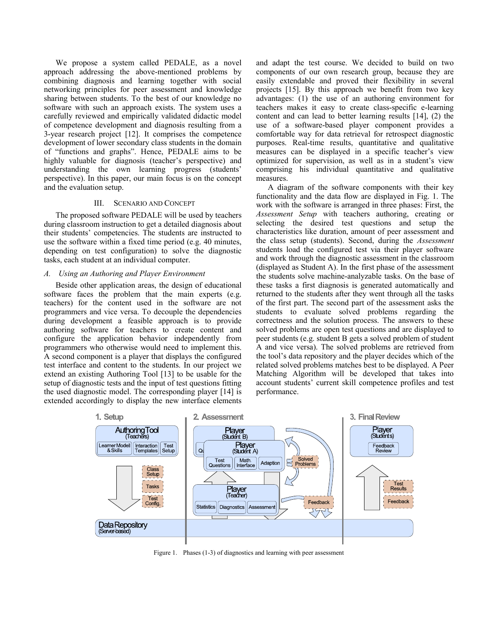We propose a system called PEDALE, as a novel approach addressing the above-mentioned problems by combining diagnosis and learning together with social networking principles for peer assessment and knowledge sharing between students. To the best of our knowledge no software with such an approach exists. The system uses a carefully reviewed and empirically validated didactic model of competence development and diagnosis resulting from a 3-year research project [12]. It comprises the competence development of lower secondary class students in the domain of "functions and graphs". Hence, PEDALE aims to be highly valuable for diagnosis (teacher's perspective) and understanding the own learning progress (students' perspective). In this paper, our main focus is on the concept and the evaluation setup.

#### III. SCENARIO AND CONCEPT

The proposed software PEDALE will be used by teachers during classroom instruction to get a detailed diagnosis about their students' competencies. The students are instructed to use the software within a fixed time period (e.g. 40 minutes, depending on test configuration) to solve the diagnostic tasks, each student at an individual computer.

#### *A. Using an Authoring and Player Environment*

Beside other application areas, the design of educational software faces the problem that the main experts (e.g. teachers) for the content used in the software are not programmers and vice versa. To decouple the dependencies during development a feasible approach is to provide authoring software for teachers to create content and configure the application behavior independently from programmers who otherwise would need to implement this. A second component is a player that displays the configured test interface and content to the students. In our project we extend an existing Authoring Tool [13] to be usable for the setup of diagnostic tests and the input of test questions fitting the used diagnostic model. The corresponding player [14] is extended accordingly to display the new interface elements

and adapt the test course. We decided to build on two components of our own research group, because they are easily extendable and proved their flexibility in several projects [15]. By this approach we benefit from two key advantages: (1) the use of an authoring environment for teachers makes it easy to create class-specific e-learning content and can lead to better learning results [14], (2) the use of a software-based player component provides a comfortable way for data retrieval for retrospect diagnostic purposes. Real-time results, quantitative and qualitative measures can be displayed in a specific teacher's view optimized for supervision, as well as in a student's view comprising his individual quantitative and qualitative measures.

A diagram of the software components with their key functionality and the data flow are displayed in Fig. 1. The work with the software is arranged in three phases: First, the *Assessment Setup* with teachers authoring, creating or selecting the desired test questions and setup the characteristics like duration, amount of peer assessment and the class setup (students). Second, during the *Assessment* students load the configured test via their player software and work through the diagnostic assessment in the classroom (displayed as Student A). In the first phase of the assessment the students solve machine-analyzable tasks. On the base of these tasks a first diagnosis is generated automatically and returned to the students after they went through all the tasks of the first part. The second part of the assessment asks the students to evaluate solved problems regarding the correctness and the solution process. The answers to these solved problems are open test questions and are displayed to peer students (e.g. student B gets a solved problem of student A and vice versa). The solved problems are retrieved from the tool's data repository and the player decides which of the related solved problems matches best to be displayed. A Peer Matching Algorithm will be developed that takes into account students' current skill competence profiles and test performance.



Figure 1. Phases (1-3) of diagnostics and learning with peer assessment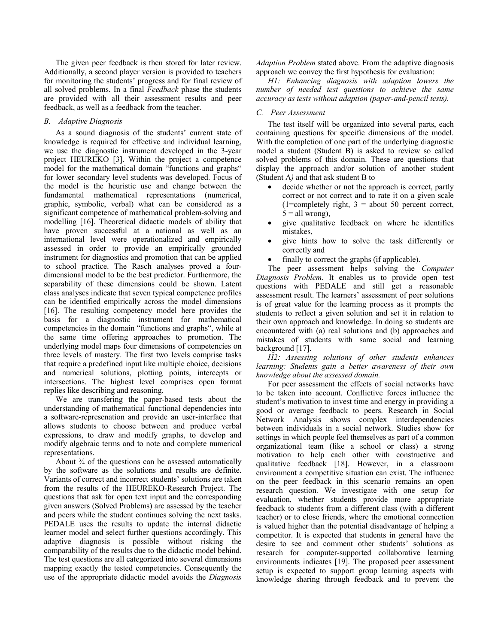The given peer feedback is then stored for later review. Additionally, a second player version is provided to teachers for monitoring the students' progress and for final review of all solved problems. In a final *Feedback* phase the students are provided with all their assessment results and peer feedback, as well as a feedback from the teacher.

## *B. Adaptive Diagnosis*

As a sound diagnosis of the students' current state of knowledge is required for effective and individual learning, we use the diagnostic instrument developed in the 3-year project HEUREKO [3]. Within the project a competence model for the mathematical domain "functions and graphs" for lower secondary level students was developed. Focus of the model is the heuristic use and change between the fundamental mathematical representations (numerical, graphic, symbolic, verbal) what can be considered as a significant competence of mathematical problem-solving and modelling [16]. Theoretical didactic models of ability that have proven successful at a national as well as an international level were operationalized and empirically assessed in order to provide an empirically grounded instrument for diagnostics and promotion that can be applied to school practice. The Rasch analyses proved a fourdimensional model to be the best predictor. Furthermore, the separability of these dimensions could be shown. Latent class analyses indicate that seven typical competence profiles can be identified empirically across the model dimensions [16]. The resulting competency model here provides the basis for a diagnostic instrument for mathematical competencies in the domain "functions and graphs", while at the same time offering approaches to promotion. The underlying model maps four dimensions of competencies on three levels of mastery. The first two levels comprise tasks that require a predefined input like multiple choice, decisions and numerical solutions, plotting points, intercepts or intersections. The highest level comprises open format replies like describing and reasoning.

We are transfering the paper-based tests about the understanding of mathematical functional dependencies into a software-represenation and provide an user-interface that allows students to choose between and produce verbal expressions, to draw and modify graphs, to develop and modify algebraic terms and to note and complete numerical representations.

About  $\frac{3}{4}$  of the questions can be assessed automatically by the software as the solutions and results are definite. Variants of correct and incorrect students' solutions are taken from the results of the HEUREKO-Research Project. The questions that ask for open text input and the corresponding given answers (Solved Problems) are assessed by the teacher and peers while the student continues solving the next tasks. PEDALE uses the results to update the internal didactic learner model and select further questions accordingly. This adaptive diagnosis is possible without risking the comparability of the results due to the didactic model behind. The test questions are all categorized into several dimensions mapping exactly the tested competencies. Consequently the use of the appropriate didactic model avoids the *Diagnosis* 

*Adaption Problem* stated above. From the adaptive diagnosis approach we convey the first hypothesis for evaluation:

*H1: Enhancing diagnosis with adaption lowers the number of needed test questions to achieve the same accuracy as tests without adaption (paper-and-pencil tests).* 

## *C. Peer Assessment*

The test itself will be organized into several parts, each containing questions for specific dimensions of the model. With the completion of one part of the underlying diagnostic model a student (Student B) is asked to review so called solved problems of this domain. These are questions that display the approach and/or solution of another student (Student A*)* and that ask student B to

- decide whether or not the approach is correct, partly correct or not correct and to rate it on a given scale  $(1=complex right, 3 = about 50 percent correct,$  $5 =$ all wrong),
- give qualitative feedback on where he identifies mistakes,
- give hints how to solve the task differently or correctly and
- finally to correct the graphs (if applicable).

The peer assessment helps solving the *Computer Diagnosis Problem*. It enables us to provide open test questions with PEDALE and still get a reasonable assessment result. The learners' assessment of peer solutions is of great value for the learning process as it prompts the students to reflect a given solution and set it in relation to their own approach and knowledge. In doing so students are encountered with (a) real solutions and (b) approaches and mistakes of students with same social and learning background [17].

*H2: Assessing solutions of other students enhances learning: Students gain a better awareness of their own knowledge about the assessed domain.* 

For peer assessment the effects of social networks have to be taken into account. Conflictive forces influence the student's motivation to invest time and energy in providing a good or average feedback to peers. Research in Social Network Analysis shows complex interdependencies between individuals in a social network. Studies show for settings in which people feel themselves as part of a common organizational team (like a school or class) a strong motivation to help each other with constructive and qualitative feedback [18]. However, in a classroom environment a competitive situation can exist. The influence on the peer feedback in this scenario remains an open research question. We investigate with one setup for evaluation, whether students provide more appropriate feedback to students from a different class (with a different teacher) or to close friends, where the emotional connection is valued higher than the potential disadvantage of helping a competitor. It is expected that students in general have the desire to see and comment other students' solutions as research for computer-supported collaborative learning environments indicates [19]. The proposed peer assessment setup is expected to support group learning aspects with knowledge sharing through feedback and to prevent the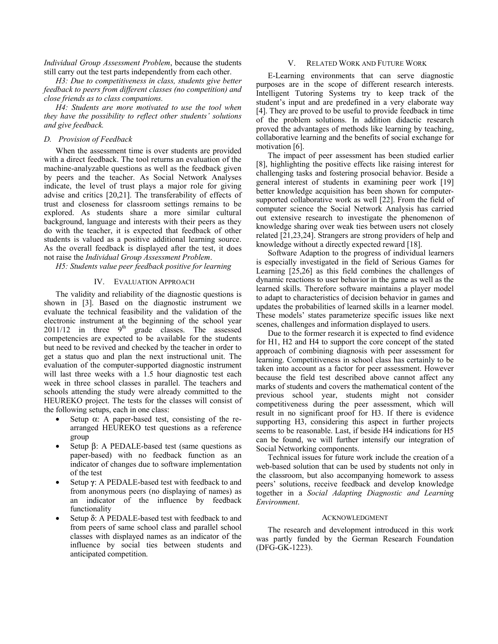*Individual Group Assessment Problem*, because the students still carry out the test parts independently from each other.

*H3: Due to competitiveness in class, students give better feedback to peers from different classes (no competition) and close friends as to class companions.* 

*H4: Students are more motivated to use the tool when they have the possibility to reflect other students' solutions and give feedback.* 

#### *D. Provision of Feedback*

When the assessment time is over students are provided with a direct feedback. The tool returns an evaluation of the machine-analyzable questions as well as the feedback given by peers and the teacher. As Social Network Analyses indicate, the level of trust plays a major role for giving advise and critics [20,21]. The transferability of effects of trust and closeness for classroom settings remains to be explored. As students share a more similar cultural background, language and interests with their peers as they do with the teacher, it is expected that feedback of other students is valued as a positive additional learning source. As the overall feedback is displayed after the test, it does not raise the *Individual Group Assessment Problem*.

*H5: Students value peer feedback positive for learning* 

#### IV. EVALUATION APPROACH

The validity and reliability of the diagnostic questions is shown in [3]. Based on the diagnostic instrument we evaluate the technical feasibility and the validation of the electronic instrument at the beginning of the school year  $2011/12$  in three  $9<sup>th</sup>$  grade classes. The assessed competencies are expected to be available for the students but need to be revived and checked by the teacher in order to get a status quo and plan the next instructional unit. The evaluation of the computer-supported diagnostic instrument will last three weeks with a 1.5 hour diagnostic test each week in three school classes in parallel. The teachers and schools attending the study were already committed to the HEUREKO project. The tests for the classes will consist of the following setups, each in one class:

- Setup  $\alpha$ : A paper-based test, consisting of the rearranged HEUREKO test questions as a reference group
- Setup β: A PEDALE-based test (same questions as paper-based) with no feedback function as an indicator of changes due to software implementation of the test
- Setup **γ**: A PEDALE-based test with feedback to and from anonymous peers (no displaying of names) as an indicator of the influence by feedback functionality
- Setup δ: A PEDALE-based test with feedback to and from peers of same school class and parallel school classes with displayed names as an indicator of the influence by social ties between students and anticipated competition.

### V. RELATED WORK AND FUTURE WORK

E-Learning environments that can serve diagnostic purposes are in the scope of different research interests. Intelligent Tutoring Systems try to keep track of the student's input and are predefined in a very elaborate way [4]. They are proved to be useful to provide feedback in time of the problem solutions. In addition didactic research proved the advantages of methods like learning by teaching, collaborative learning and the benefits of social exchange for motivation [6].

The impact of peer assessment has been studied earlier [8], highlighting the positive effects like raising interest for challenging tasks and fostering prosocial behavior. Beside a general interest of students in examining peer work [19] better knowledge acquisition has been shown for computersupported collaborative work as well [22]. From the field of computer science the Social Network Analysis has carried out extensive research to investigate the phenomenon of knowledge sharing over weak ties between users not closely related [21,23,24]. Strangers are strong providers of help and knowledge without a directly expected reward [18].

Software Adaption to the progress of individual learners is especially investigated in the field of Serious Games for Learning [25,26] as this field combines the challenges of dynamic reactions to user behavior in the game as well as the learned skills. Therefore software maintains a player model to adapt to characteristics of decision behavior in games and updates the probabilities of learned skills in a learner model. These models' states parameterize specific issues like next scenes, challenges and information displayed to users.

Due to the former research it is expected to find evidence for H1, H2 and H4 to support the core concept of the stated approach of combining diagnosis with peer assessment for learning. Competitiveness in school class has certainly to be taken into account as a factor for peer assessment. However because the field test described above cannot affect any marks of students and covers the mathematical content of the previous school year, students might not consider competitiveness during the peer assessment, which will result in no significant proof for H3. If there is evidence supporting H3, considering this aspect in further projects seems to be reasonable. Last, if beside H4 indications for H5 can be found, we will further intensify our integration of Social Networking components.

Technical issues for future work include the creation of a web-based solution that can be used by students not only in the classroom, but also accompanying homework to assess peers' solutions, receive feedback and develop knowledge together in a *Social Adapting Diagnostic and Learning Environment*.

#### ACKNOWLEDGMENT

The research and development introduced in this work was partly funded by the German Research Foundation (DFG-GK-1223).